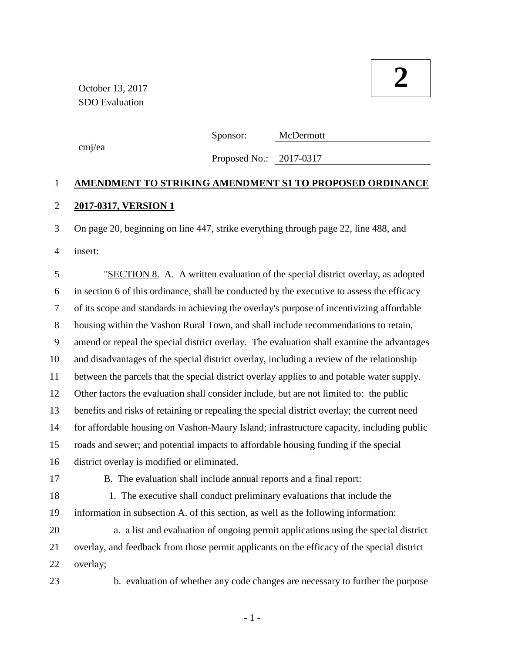cmj/ea

Sponsor: McDermott

Proposed No.: 2017-0317

# **AMENDMENT TO STRIKING AMENDMENT S1 TO PROPOSED ORDINANCE 2017-0317, VERSION 1**

 On page 20, beginning on line 447, strike everything through page 22, line 488, and insert:

 "SECTION 8. A. A written evaluation of the special district overlay, as adopted in section 6 of this ordinance, shall be conducted by the executive to assess the efficacy of its scope and standards in achieving the overlay's purpose of incentivizing affordable housing within the Vashon Rural Town, and shall include recommendations to retain, amend or repeal the special district overlay. The evaluation shall examine the advantages and disadvantages of the special district overlay, including a review of the relationship between the parcels that the special district overlay applies to and potable water supply. Other factors the evaluation shall consider include, but are not limited to: the public benefits and risks of retaining or repealing the special district overlay; the current need for affordable housing on Vashon-Maury Island; infrastructure capacity, including public roads and sewer; and potential impacts to affordable housing funding if the special district overlay is modified or eliminated. B. The evaluation shall include annual reports and a final report: 18 1. The executive shall conduct preliminary evaluations that include the information in subsection A. of this section, as well as the following information: 20 a. a list and evaluation of ongoing permit applications using the special district overlay, and feedback from those permit applicants on the efficacy of the special district overlay;

23 b. evaluation of whether any code changes are necessary to further the purpose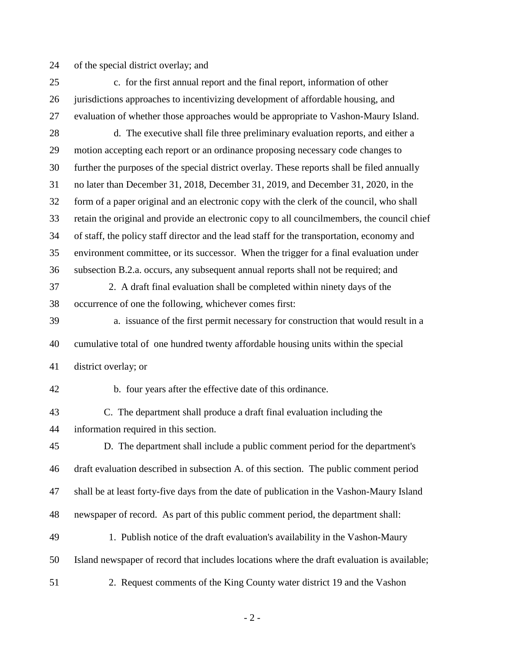of the special district overlay; and

- 25 c. for the first annual report and the final report, information of other jurisdictions approaches to incentivizing development of affordable housing, and evaluation of whether those approaches would be appropriate to Vashon-Maury Island.
- 28 d. The executive shall file three preliminary evaluation reports, and either a motion accepting each report or an ordinance proposing necessary code changes to further the purposes of the special district overlay. These reports shall be filed annually no later than December 31, 2018, December 31, 2019, and December 31, 2020, in the form of a paper original and an electronic copy with the clerk of the council, who shall retain the original and provide an electronic copy to all councilmembers, the council chief of staff, the policy staff director and the lead staff for the transportation, economy and environment committee, or its successor. When the trigger for a final evaluation under subsection B.2.a. occurs, any subsequent annual reports shall not be required; and
- 37 2. A draft final evaluation shall be completed within ninety days of the occurrence of one the following, whichever comes first:
- 39 a. issuance of the first permit necessary for construction that would result in a cumulative total of one hundred twenty affordable housing units within the special district overlay; or
- 

42 b. four years after the effective date of this ordinance.

 C. The department shall produce a draft final evaluation including the information required in this section.

 D. The department shall include a public comment period for the department's draft evaluation described in subsection A. of this section. The public comment period shall be at least forty-five days from the date of publication in the Vashon-Maury Island newspaper of record. As part of this public comment period, the department shall: 49 1. Publish notice of the draft evaluation's availability in the Vashon-Maury

Island newspaper of record that includes locations where the draft evaluation is available;

51 2. Request comments of the King County water district 19 and the Vashon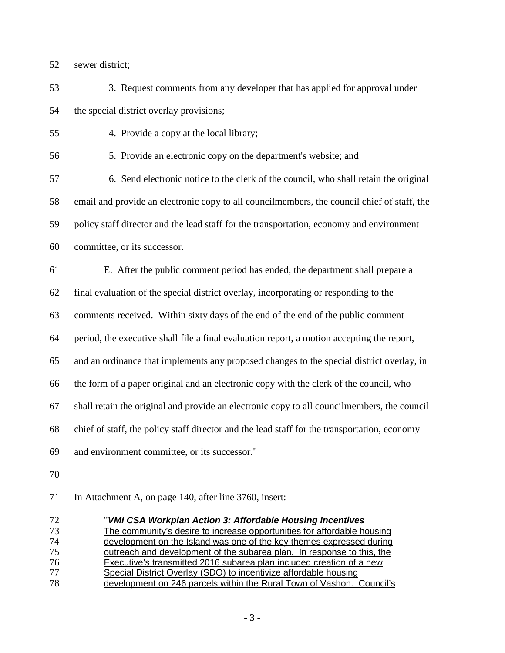sewer district;

53 3. Request comments from any developer that has applied for approval under the special district overlay provisions;

55 4. Provide a copy at the local library;

56 5. Provide an electronic copy on the department's website; and

57 6. Send electronic notice to the clerk of the council, who shall retain the original email and provide an electronic copy to all councilmembers, the council chief of staff, the policy staff director and the lead staff for the transportation, economy and environment committee, or its successor.

E. After the public comment period has ended, the department shall prepare a

final evaluation of the special district overlay, incorporating or responding to the

comments received. Within sixty days of the end of the end of the public comment

period, the executive shall file a final evaluation report, a motion accepting the report,

and an ordinance that implements any proposed changes to the special district overlay, in

the form of a paper original and an electronic copy with the clerk of the council, who

shall retain the original and provide an electronic copy to all councilmembers, the council

chief of staff, the policy staff director and the lead staff for the transportation, economy

and environment committee, or its successor."

In Attachment A, on page 140, after line 3760, insert:

| 72 | "VMI CSA Workplan Action 3: Affordable Housing Incentives               |
|----|-------------------------------------------------------------------------|
| 73 | The community's desire to increase opportunities for affordable housing |
| 74 | development on the Island was one of the key themes expressed during    |
| 75 | outreach and development of the subarea plan. In response to this, the  |
| 76 | Executive's transmitted 2016 subarea plan included creation of a new    |
| 77 | Special District Overlay (SDO) to incentivize affordable housing        |
| 78 | development on 246 parcels within the Rural Town of Vashon. Council's   |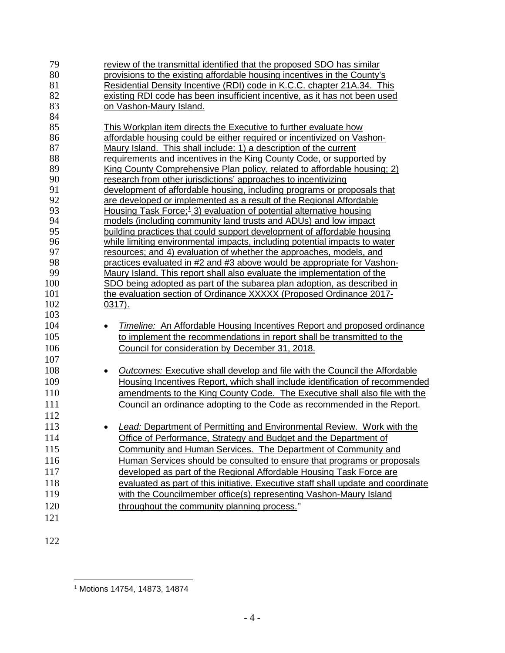| 79  | review of the transmittal identified that the proposed SDO has similar                |
|-----|---------------------------------------------------------------------------------------|
| 80  | provisions to the existing affordable housing incentives in the County's              |
| 81  | Residential Density Incentive (RDI) code in K.C.C. chapter 21A.34. This               |
| 82  | existing RDI code has been insufficient incentive, as it has not been used            |
| 83  | on Vashon-Maury Island.                                                               |
| 84  |                                                                                       |
| 85  | This Workplan item directs the Executive to further evaluate how                      |
| 86  | affordable housing could be either required or incentivized on Vashon-                |
| 87  | <u>Maury Island. This shall include: 1) a description of the current</u>              |
| 88  | requirements and incentives in the King County Code, or supported by                  |
| 89  | King County Comprehensive Plan policy, related to affordable housing; 2)              |
| 90  | research from other jurisdictions' approaches to incentivizing                        |
| 91  | development of affordable housing, including programs or proposals that               |
| 92  | are developed or implemented as a result of the Regional Affordable                   |
| 93  | <u>Housing Task Force;<sup>1</sup> 3) evaluation of potential alternative housing</u> |
| 94  | models (including community land trusts and ADUs) and low impact                      |
| 95  | building practices that could support development of affordable housing               |
| 96  | while limiting environmental impacts, including potential impacts to water            |
| 97  | resources; and 4) evaluation of whether the approaches, models, and                   |
| 98  | practices evaluated in #2 and #3 above would be appropriate for Vashon-               |
| 99  | Maury Island. This report shall also evaluate the implementation of the               |
| 100 | SDO being adopted as part of the subarea plan adoption, as described in               |
| 101 | the evaluation section of Ordinance XXXXX (Proposed Ordinance 2017-                   |
| 102 | $0317$ ).                                                                             |
| 103 |                                                                                       |
| 104 | Timeline: An Affordable Housing Incentives Report and proposed ordinance              |
| 105 | to implement the recommendations in report shall be transmitted to the                |
| 106 | Council for consideration by December 31, 2018.                                       |
| 107 |                                                                                       |
| 108 | <b>Outcomes: Executive shall develop and file with the Council the Affordable</b>     |
| 109 | Housing Incentives Report, which shall include identification of recommended          |
| 110 | amendments to the King County Code. The Executive shall also file with the            |
| 111 | Council an ordinance adopting to the Code as recommended in the Report.               |
| 112 |                                                                                       |
| 113 | <b>Lead: Department of Permitting and Environmental Review. Work with the</b>         |
| 114 | Office of Performance, Strategy and Budget and the Department of                      |
| 115 | Community and Human Services. The Department of Community and                         |
| 116 | Human Services should be consulted to ensure that programs or proposals               |
| 117 |                                                                                       |
|     | developed as part of the Regional Affordable Housing Task Force are                   |
| 118 | evaluated as part of this initiative. Executive staff shall update and coordinate     |
| 119 | with the Councilmember office(s) representing Vashon-Maury Island                     |
| 120 | throughout the community planning process."                                           |
| 121 |                                                                                       |
|     |                                                                                       |

<span id="page-3-0"></span>

 $\overline{a}$ Motions 14754, 14873, 14874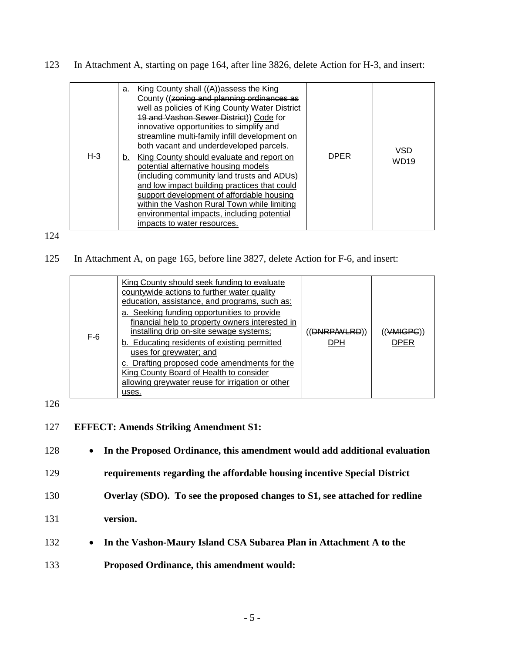123 In Attachment A, starting on page 164, after line 3826, delete Action for H-3, and insert:

| $H - 3$ | а.<br>b. | King County shall ((A)) assess the King<br>County ((zoning and planning ordinances as<br>well as policies of King County Water District<br>19 and Vashon Sewer District)) Code for<br>innovative opportunities to simplify and<br>streamline multi-family infill development on<br>both vacant and underdeveloped parcels.<br>King County should evaluate and report on<br>potential alternative housing models<br>(including community land trusts and ADUs)<br>and low impact building practices that could<br>support development of affordable housing<br>within the Vashon Rural Town while limiting<br>environmental impacts, including potential<br>impacts to water resources. | <b>DPER</b> | VSD<br>WD <sub>19</sub> |
|---------|----------|----------------------------------------------------------------------------------------------------------------------------------------------------------------------------------------------------------------------------------------------------------------------------------------------------------------------------------------------------------------------------------------------------------------------------------------------------------------------------------------------------------------------------------------------------------------------------------------------------------------------------------------------------------------------------------------|-------------|-------------------------|
|---------|----------|----------------------------------------------------------------------------------------------------------------------------------------------------------------------------------------------------------------------------------------------------------------------------------------------------------------------------------------------------------------------------------------------------------------------------------------------------------------------------------------------------------------------------------------------------------------------------------------------------------------------------------------------------------------------------------------|-------------|-------------------------|

#### 124

## 125 In Attachment A, on page 165, before line 3827, delete Action for F-6, and insert:

| $F-6$ | King County should seek funding to evaluate<br>countywide actions to further water quality<br>education, assistance, and programs, such as:<br>a. Seeking funding opportunities to provide<br>financial help to property owners interested in<br>installing drip on-site sewage systems;<br>b. Educating residents of existing permitted<br>uses for greywater; and<br>c. Drafting proposed code amendments for the<br>King County Board of Health to consider<br>allowing greywater reuse for irrigation or other<br>uses. | (DNRPAVLRD))<br>DPH | (VMIGPC)<br>DPER |
|-------|-----------------------------------------------------------------------------------------------------------------------------------------------------------------------------------------------------------------------------------------------------------------------------------------------------------------------------------------------------------------------------------------------------------------------------------------------------------------------------------------------------------------------------|---------------------|------------------|
|-------|-----------------------------------------------------------------------------------------------------------------------------------------------------------------------------------------------------------------------------------------------------------------------------------------------------------------------------------------------------------------------------------------------------------------------------------------------------------------------------------------------------------------------------|---------------------|------------------|

## 126

#### 127 **EFFECT: Amends Striking Amendment S1:**

128 • **In the Proposed Ordinance, this amendment would add additional evaluation** 

129 **requirements regarding the affordable housing incentive Special District** 

- 130 **Overlay (SDO). To see the proposed changes to S1, see attached for redline**
- 131 **version.**
- 132 **In the Vashon-Maury Island CSA Subarea Plan in Attachment A to the**
- 133 **Proposed Ordinance, this amendment would:**